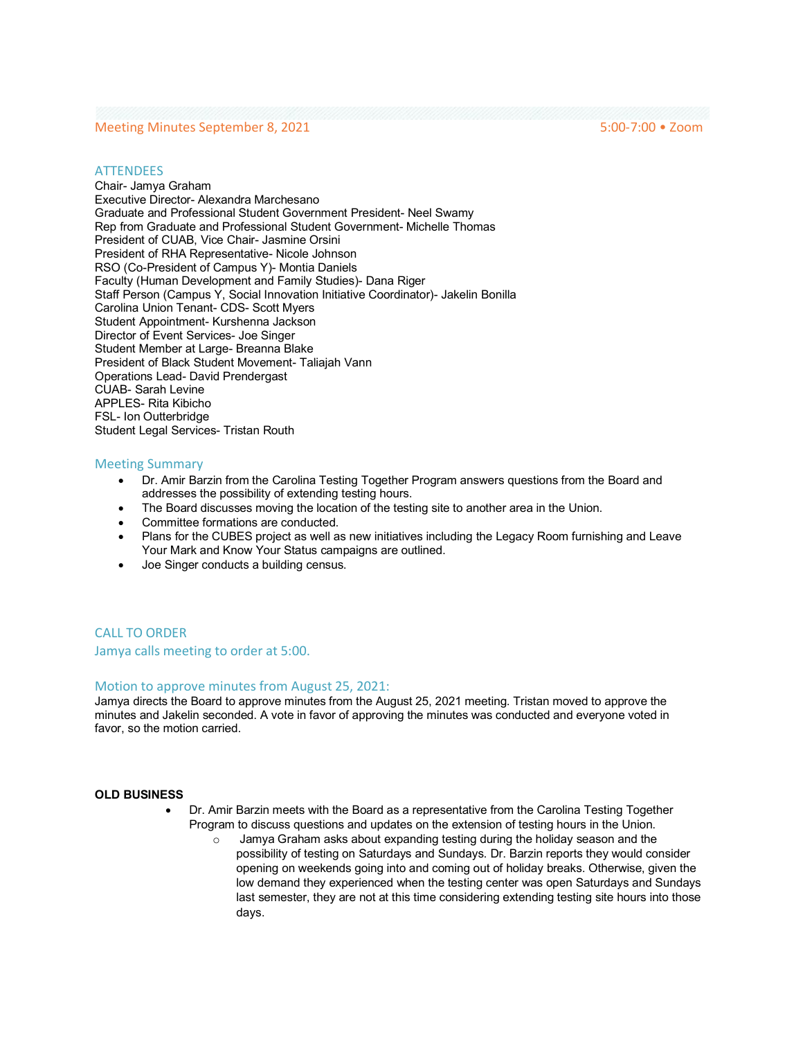### Meeting Minutes September 8, 2021 5:00-7:00 • Zoom

#### **ATTENDEES**

Chair- Jamya Graham Executive Director- Alexandra Marchesano Graduate and Professional Student Government President- Neel Swamy Rep from Graduate and Professional Student Government- Michelle Thomas President of CUAB, Vice Chair- Jasmine Orsini President of RHA Representative- Nicole Johnson RSO (Co-President of Campus Y)- Montia Daniels Faculty (Human Development and Family Studies)- Dana Riger Staff Person (Campus Y, Social Innovation Initiative Coordinator)- Jakelin Bonilla Carolina Union Tenant- CDS- Scott Myers Student Appointment- Kurshenna Jackson Director of Event Services- Joe Singer Student Member at Large- Breanna Blake President of Black Student Movement- Taliajah Vann Operations Lead- David Prendergast CUAB- Sarah Levine APPLES- Rita Kibicho FSL- Ion Outterbridge Student Legal Services- Tristan Routh

#### Meeting Summary

- Dr. Amir Barzin from the Carolina Testing Together Program answers questions from the Board and addresses the possibility of extending testing hours.
- The Board discusses moving the location of the testing site to another area in the Union.
- Committee formations are conducted.
- Plans for the CUBES project as well as new initiatives including the Legacy Room furnishing and Leave Your Mark and Know Your Status campaigns are outlined.
- Joe Singer conducts a building census.

CALL TO ORDER Jamya calls meeting to order at 5:00.

#### Motion to approve minutes from August 25, 2021:

Jamya directs the Board to approve minutes from the August 25, 2021 meeting. Tristan moved to approve the minutes and Jakelin seconded. A vote in favor of approving the minutes was conducted and everyone voted in favor, so the motion carried.

#### **OLD BUSINESS**

- Dr. Amir Barzin meets with the Board as a representative from the Carolina Testing Together Program to discuss questions and updates on the extension of testing hours in the Union.
	- o Jamya Graham asks about expanding testing during the holiday season and the possibility of testing on Saturdays and Sundays. Dr. Barzin reports they would consider opening on weekends going into and coming out of holiday breaks. Otherwise, given the low demand they experienced when the testing center was open Saturdays and Sundays last semester, they are not at this time considering extending testing site hours into those days.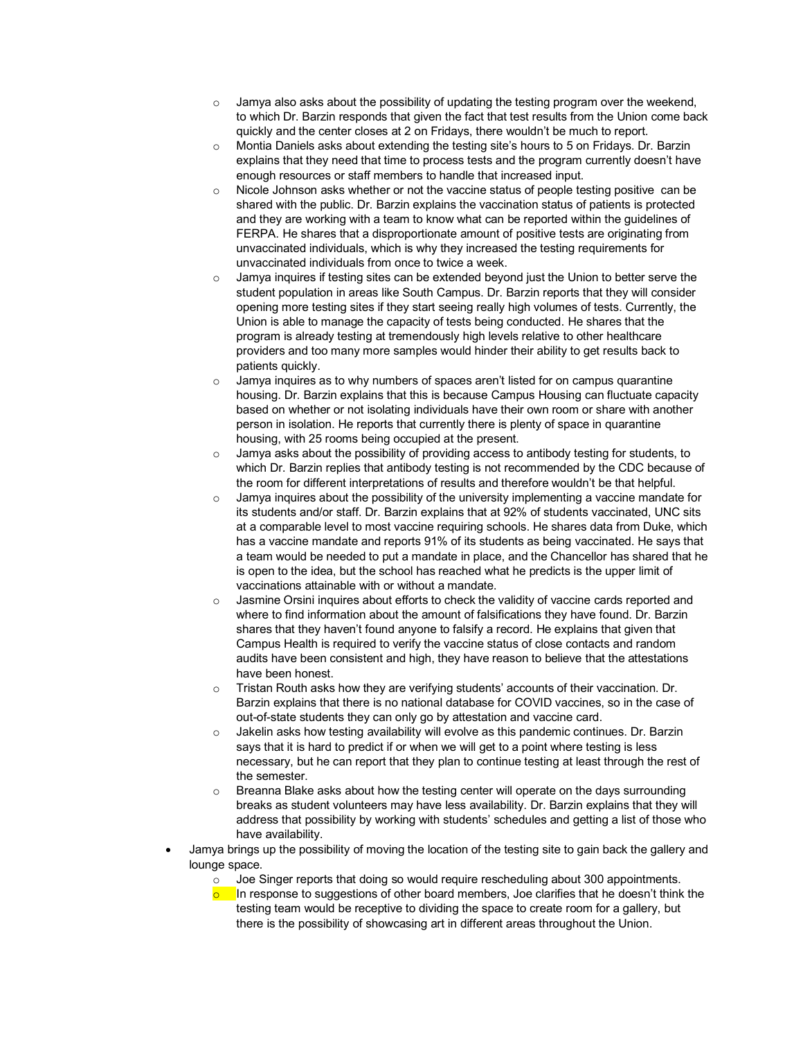- o Jamya also asks about the possibility of updating the testing program over the weekend, to which Dr. Barzin responds that given the fact that test results from the Union come back quickly and the center closes at 2 on Fridays, there wouldn't be much to report.
- $\circ$  Montia Daniels asks about extending the testing site's hours to 5 on Fridays. Dr. Barzin explains that they need that time to process tests and the program currently doesn't have enough resources or staff members to handle that increased input.
- Nicole Johnson asks whether or not the vaccine status of people testing positive can be shared with the public. Dr. Barzin explains the vaccination status of patients is protected and they are working with a team to know what can be reported within the guidelines of FERPA. He shares that a disproportionate amount of positive tests are originating from unvaccinated individuals, which is why they increased the testing requirements for unvaccinated individuals from once to twice a week.
- $\circ$  Jamya inquires if testing sites can be extended beyond just the Union to better serve the student population in areas like South Campus. Dr. Barzin reports that they will consider opening more testing sites if they start seeing really high volumes of tests. Currently, the Union is able to manage the capacity of tests being conducted. He shares that the program is already testing at tremendously high levels relative to other healthcare providers and too many more samples would hinder their ability to get results back to patients quickly.
- $\circ$  Jamya inquires as to why numbers of spaces aren't listed for on campus quarantine housing. Dr. Barzin explains that this is because Campus Housing can fluctuate capacity based on whether or not isolating individuals have their own room or share with another person in isolation. He reports that currently there is plenty of space in quarantine housing, with 25 rooms being occupied at the present.
- $\circ$  Jamya asks about the possibility of providing access to antibody testing for students, to which Dr. Barzin replies that antibody testing is not recommended by the CDC because of the room for different interpretations of results and therefore wouldn't be that helpful.
- $\circ$  Jamya inquires about the possibility of the university implementing a vaccine mandate for its students and/or staff. Dr. Barzin explains that at 92% of students vaccinated, UNC sits at a comparable level to most vaccine requiring schools. He shares data from Duke, which has a vaccine mandate and reports 91% of its students as being vaccinated. He says that a team would be needed to put a mandate in place, and the Chancellor has shared that he is open to the idea, but the school has reached what he predicts is the upper limit of vaccinations attainable with or without a mandate.
- o Jasmine Orsini inquires about efforts to check the validity of vaccine cards reported and where to find information about the amount of falsifications they have found. Dr. Barzin shares that they haven't found anyone to falsify a record. He explains that given that Campus Health is required to verify the vaccine status of close contacts and random audits have been consistent and high, they have reason to believe that the attestations have been honest.
- $\circ$  Tristan Routh asks how they are verifying students' accounts of their vaccination. Dr. Barzin explains that there is no national database for COVID vaccines, so in the case of out-of-state students they can only go by attestation and vaccine card.
- o Jakelin asks how testing availability will evolve as this pandemic continues. Dr. Barzin says that it is hard to predict if or when we will get to a point where testing is less necessary, but he can report that they plan to continue testing at least through the rest of the semester.
- $\circ$  Breanna Blake asks about how the testing center will operate on the days surrounding breaks as student volunteers may have less availability. Dr. Barzin explains that they will address that possibility by working with students' schedules and getting a list of those who have availability.
- Jamya brings up the possibility of moving the location of the testing site to gain back the gallery and lounge space.
	- $\circ$  Joe Singer reports that doing so would require rescheduling about 300 appointments.
	- $\circ$  In response to suggestions of other board members, Joe clarifies that he doesn't think the testing team would be receptive to dividing the space to create room for a gallery, but there is the possibility of showcasing art in different areas throughout the Union.